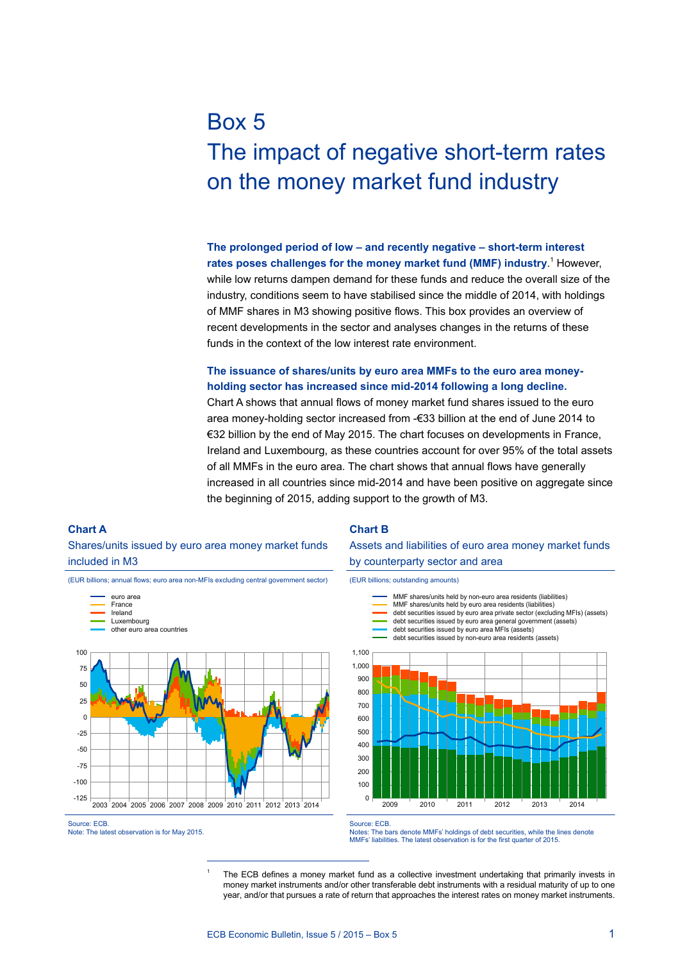# Box 5 The impact of negative short-term rates on the money market fund industry

**The prolonged period of low – and recently negative – short-term interest**  rates poses challenges for the money market fund (MMF) industry.<sup>1</sup> However, while low returns dampen demand for these funds and reduce the overall size of the industry, conditions seem to have stabilised since the middle of 2014, with holdings of MMF shares in M3 showing positive flows. This box provides an overview of recent developments in the sector and analyses changes in the returns of these funds in the context of the low interest rate environment.

### **The issuance of shares/units by euro area MMFs to the euro area moneyholding sector has increased since mid-2014 following a long decline.**

Chart A shows that annual flows of money market fund shares issued to the euro area money-holding sector increased from -€33 billion at the end of June 2014 to €32 billion by the end of May 2015. The chart focuses on developments in France, Ireland and Luxembourg, as these countries account for over 95% of the total assets of all MMFs in the euro area. The chart shows that annual flows have generally increased in all countries since mid-2014 and have been positive on aggregate since the beginning of 2015, adding support to the growth of M3.

#### **Chart A**

Shares/units issued by euro area money market funds included in M3

(EUR billions; annual flows; euro area non-MFIs excluding central government sector)





#### **Chart B**

Assets and liabilities of euro area money market funds by counterparty sector and area

(EUR billions; outstanding amounts)



Source: ECB.

Notes: The bars denote MMFs' holdings of debt securities, while the lines denote MMFs' liabilities. The latest observation is for the first quarter of 2015.

The ECB defines a money market fund as a collective investment undertaking that primarily invests in money market instruments and/or other transferable debt instruments with a residual maturity of up to one year, and/or that pursues a rate of return that approaches the interest rates on money market instruments.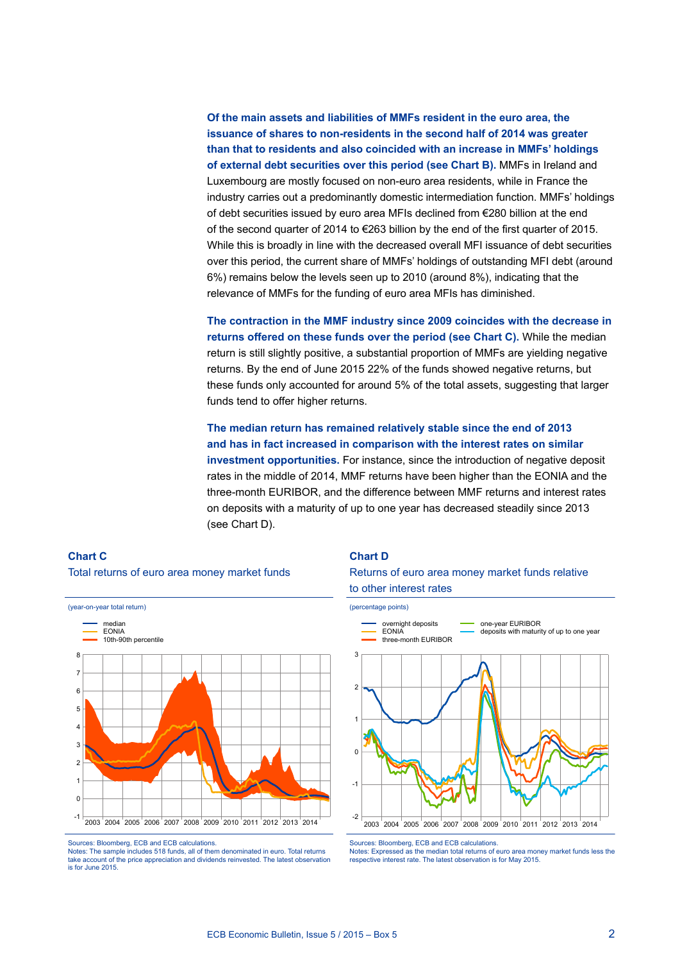**Of the main assets and liabilities of MMFs resident in the euro area, the issuance of shares to non-residents in the second half of 2014 was greater than that to residents and also coincided with an increase in MMFs' holdings of external debt securities over this period (see Chart B).** MMFs in Ireland and Luxembourg are mostly focused on non-euro area residents, while in France the industry carries out a predominantly domestic intermediation function. MMFs' holdings of debt securities issued by euro area MFIs declined from €280 billion at the end of the second quarter of 2014 to €263 billion by the end of the first quarter of 2015. While this is broadly in line with the decreased overall MFI issuance of debt securities over this period, the current share of MMFs' holdings of outstanding MFI debt (around 6%) remains below the levels seen up to 2010 (around 8%), indicating that the relevance of MMFs for the funding of euro area MFIs has diminished.

**The contraction in the MMF industry since 2009 coincides with the decrease in returns offered on these funds over the period (see Chart C).** While the median return is still slightly positive, a substantial proportion of MMFs are yielding negative returns. By the end of June 2015 22% of the funds showed negative returns, but these funds only accounted for around 5% of the total assets, suggesting that larger funds tend to offer higher returns.

**The median return has remained relatively stable since the end of 2013 and has in fact increased in comparison with the interest rates on similar investment opportunities.** For instance, since the introduction of negative deposit rates in the middle of 2014, MMF returns have been higher than the EONIA and the three-month EURIBOR, and the difference between MMF returns and interest rates on deposits with a maturity of up to one year has decreased steadily since 2013 (see Chart D).

## **Chart C** Total returns of euro area money market funds



Sources: Bloomberg, ECB and ECB calculations.

Notes: The sample includes 518 funds, all of them denominated in euro. Total returns take account of the price appreciation and dividends reinvested. The latest observation and dividends reinvested. is for June 2015.

#### **Chart D**





Sources: Bloomberg, ECB and ECB calculations.

Notes: Expressed as the median total returns of euro area money market funds less the respective interest rate. The latest observation is for May 2015.